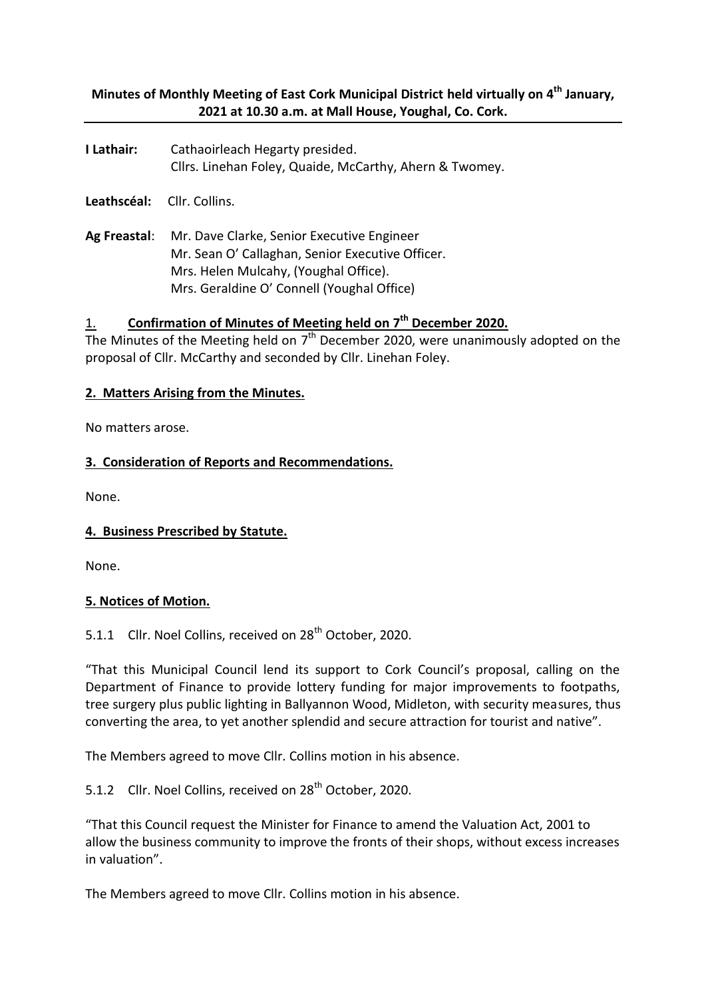# **Minutes of Monthly Meeting of East Cork Municipal District held virtually on 4 th January, 2021 at 10.30 a.m. at Mall House, Youghal, Co. Cork.**

**I Lathair:** Cathaoirleach Hegarty presided. Cllrs. Linehan Foley, Quaide, McCarthy, Ahern & Twomey.

**Leathscéal:** Cllr. Collins.

**Ag Freastal**: Mr. Dave Clarke, Senior Executive Engineer Mr. Sean O' Callaghan, Senior Executive Officer. Mrs. Helen Mulcahy, (Youghal Office). Mrs. Geraldine O' Connell (Youghal Office)

# 1. **Confirmation of Minutes of Meeting held on 7 th December 2020.**

The Minutes of the Meeting held on  $7<sup>th</sup>$  December 2020, were unanimously adopted on the proposal of Cllr. McCarthy and seconded by Cllr. Linehan Foley.

#### **2. Matters Arising from the Minutes.**

No matters arose.

#### **3. Consideration of Reports and Recommendations.**

None.

#### **4. Business Prescribed by Statute.**

None.

#### **5. Notices of Motion.**

## 5.1.1 Cllr. Noel Collins, received on 28<sup>th</sup> October, 2020.

"That this Municipal Council lend its support to Cork Council's proposal, calling on the Department of Finance to provide lottery funding for major improvements to footpaths, tree surgery plus public lighting in Ballyannon Wood, Midleton, with security measures, thus converting the area, to yet another splendid and secure attraction for tourist and native".

The Members agreed to move Cllr. Collins motion in his absence.

5.1.2 Cllr. Noel Collins, received on 28<sup>th</sup> October, 2020.

"That this Council request the Minister for Finance to amend the Valuation Act, 2001 to allow the business community to improve the fronts of their shops, without excess increases in valuation".

The Members agreed to move Cllr. Collins motion in his absence.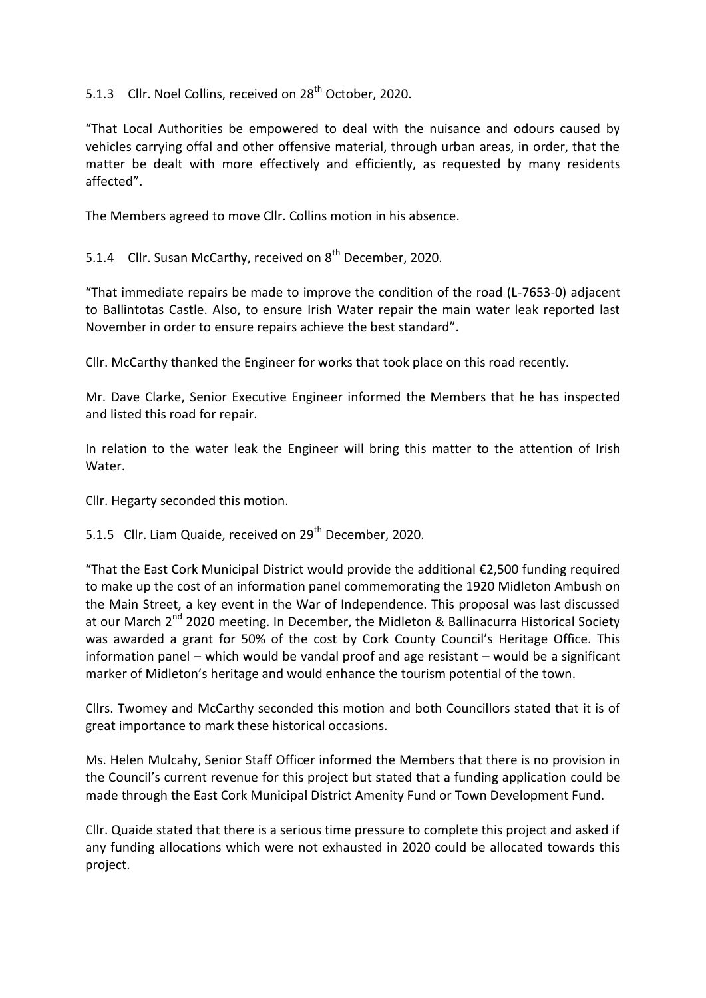5.1.3 Cllr. Noel Collins, received on 28<sup>th</sup> October, 2020.

"That Local Authorities be empowered to deal with the nuisance and odours caused by vehicles carrying offal and other offensive material, through urban areas, in order, that the matter be dealt with more effectively and efficiently, as requested by many residents affected".

The Members agreed to move Cllr. Collins motion in his absence.

5.1.4 Cllr. Susan McCarthy, received on 8<sup>th</sup> December, 2020.

"That immediate repairs be made to improve the condition of the road (L-7653-0) adjacent to Ballintotas Castle. Also, to ensure Irish Water repair the main water leak reported last November in order to ensure repairs achieve the best standard".

Cllr. McCarthy thanked the Engineer for works that took place on this road recently.

Mr. Dave Clarke, Senior Executive Engineer informed the Members that he has inspected and listed this road for repair.

In relation to the water leak the Engineer will bring this matter to the attention of Irish Water.

Cllr. Hegarty seconded this motion.

5.1.5 Cllr. Liam Quaide, received on 29<sup>th</sup> December, 2020.

"That the East Cork Municipal District would provide the additional €2,500 funding required to make up the cost of an information panel commemorating the 1920 Midleton Ambush on the Main Street, a key event in the War of Independence. This proposal was last discussed at our March  $2^{nd}$  2020 meeting. In December, the Midleton & Ballinacurra Historical Society was awarded a grant for 50% of the cost by Cork County Council's Heritage Office. This information panel – which would be vandal proof and age resistant – would be a significant marker of Midleton's heritage and would enhance the tourism potential of the town.

Cllrs. Twomey and McCarthy seconded this motion and both Councillors stated that it is of great importance to mark these historical occasions.

Ms. Helen Mulcahy, Senior Staff Officer informed the Members that there is no provision in the Council's current revenue for this project but stated that a funding application could be made through the East Cork Municipal District Amenity Fund or Town Development Fund.

Cllr. Quaide stated that there is a serious time pressure to complete this project and asked if any funding allocations which were not exhausted in 2020 could be allocated towards this project.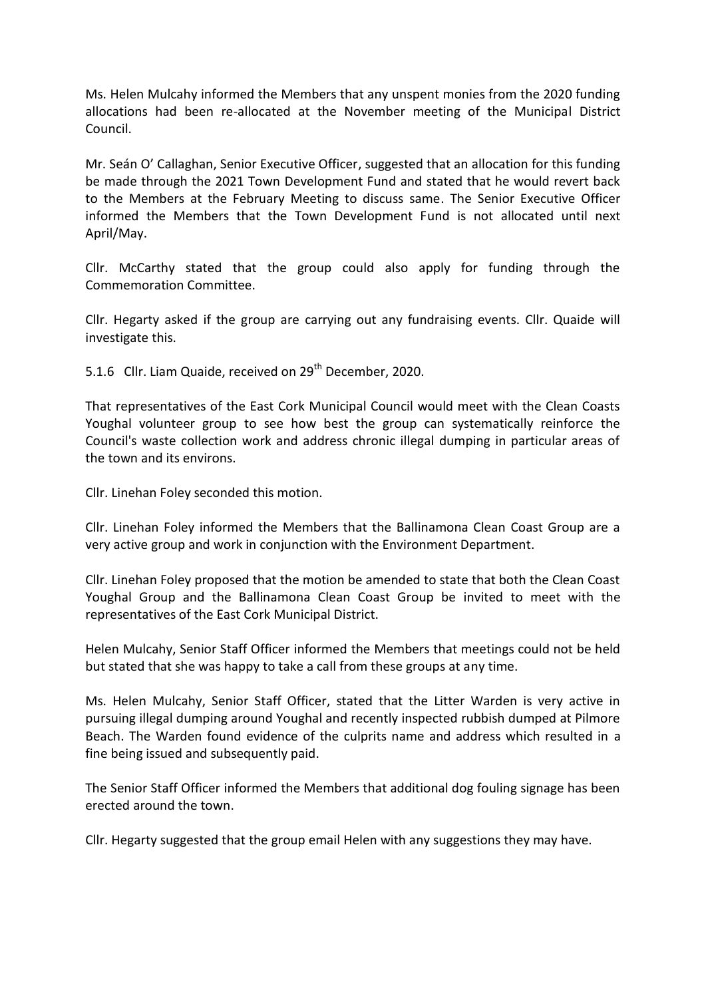Ms. Helen Mulcahy informed the Members that any unspent monies from the 2020 funding allocations had been re-allocated at the November meeting of the Municipal District Council.

Mr. Seán O' Callaghan, Senior Executive Officer, suggested that an allocation for this funding be made through the 2021 Town Development Fund and stated that he would revert back to the Members at the February Meeting to discuss same. The Senior Executive Officer informed the Members that the Town Development Fund is not allocated until next April/May.

Cllr. McCarthy stated that the group could also apply for funding through the Commemoration Committee.

Cllr. Hegarty asked if the group are carrying out any fundraising events. Cllr. Quaide will investigate this.

5.1.6 Cllr. Liam Quaide, received on 29<sup>th</sup> December, 2020.

That representatives of the East Cork Municipal Council would meet with the Clean Coasts Youghal volunteer group to see how best the group can systematically reinforce the Council's waste collection work and address chronic illegal dumping in particular areas of the town and its environs.

Cllr. Linehan Foley seconded this motion.

Cllr. Linehan Foley informed the Members that the Ballinamona Clean Coast Group are a very active group and work in conjunction with the Environment Department.

Cllr. Linehan Foley proposed that the motion be amended to state that both the Clean Coast Youghal Group and the Ballinamona Clean Coast Group be invited to meet with the representatives of the East Cork Municipal District.

Helen Mulcahy, Senior Staff Officer informed the Members that meetings could not be held but stated that she was happy to take a call from these groups at any time.

Ms. Helen Mulcahy, Senior Staff Officer, stated that the Litter Warden is very active in pursuing illegal dumping around Youghal and recently inspected rubbish dumped at Pilmore Beach. The Warden found evidence of the culprits name and address which resulted in a fine being issued and subsequently paid.

The Senior Staff Officer informed the Members that additional dog fouling signage has been erected around the town.

Cllr. Hegarty suggested that the group email Helen with any suggestions they may have.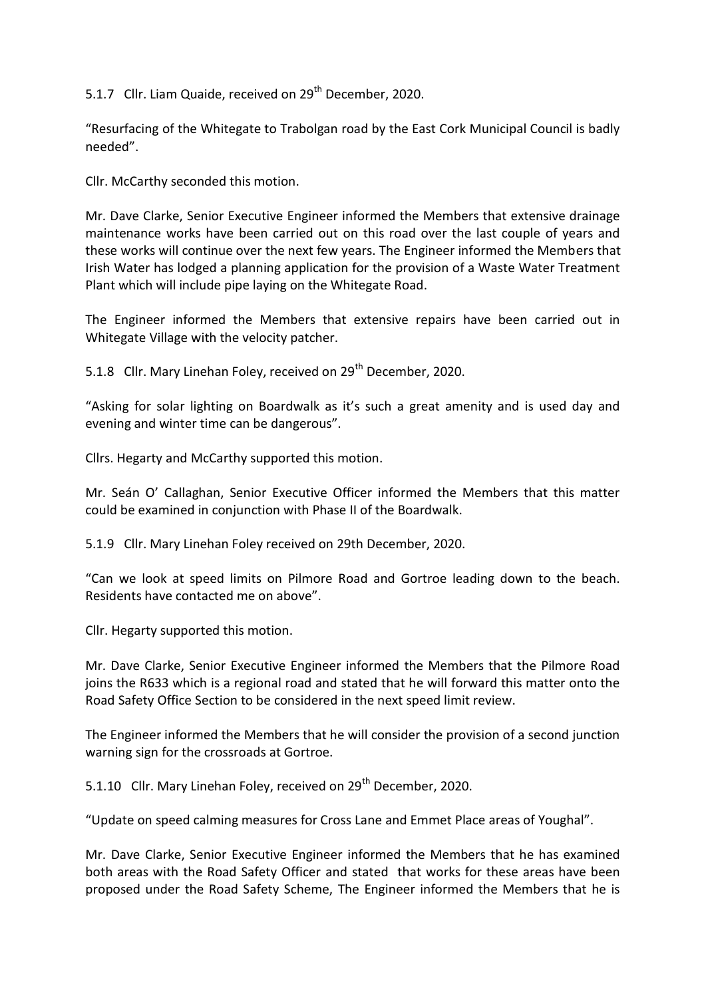5.1.7 Cllr. Liam Quaide, received on 29<sup>th</sup> December, 2020.

"Resurfacing of the Whitegate to Trabolgan road by the East Cork Municipal Council is badly needed".

Cllr. McCarthy seconded this motion.

Mr. Dave Clarke, Senior Executive Engineer informed the Members that extensive drainage maintenance works have been carried out on this road over the last couple of years and these works will continue over the next few years. The Engineer informed the Members that Irish Water has lodged a planning application for the provision of a Waste Water Treatment Plant which will include pipe laying on the Whitegate Road.

The Engineer informed the Members that extensive repairs have been carried out in Whitegate Village with the velocity patcher.

5.1.8 Cllr. Mary Linehan Foley, received on 29<sup>th</sup> December, 2020.

"Asking for solar lighting on Boardwalk as it's such a great amenity and is used day and evening and winter time can be dangerous".

Cllrs. Hegarty and McCarthy supported this motion.

Mr. Seán O' Callaghan, Senior Executive Officer informed the Members that this matter could be examined in conjunction with Phase II of the Boardwalk.

5.1.9 Cllr. Mary Linehan Foley received on 29th December, 2020.

"Can we look at speed limits on Pilmore Road and Gortroe leading down to the beach. Residents have contacted me on above".

Cllr. Hegarty supported this motion.

Mr. Dave Clarke, Senior Executive Engineer informed the Members that the Pilmore Road joins the R633 which is a regional road and stated that he will forward this matter onto the Road Safety Office Section to be considered in the next speed limit review.

The Engineer informed the Members that he will consider the provision of a second junction warning sign for the crossroads at Gortroe.

5.1.10 Cllr. Mary Linehan Foley, received on 29<sup>th</sup> December, 2020.

"Update on speed calming measures for Cross Lane and Emmet Place areas of Youghal".

Mr. Dave Clarke, Senior Executive Engineer informed the Members that he has examined both areas with the Road Safety Officer and stated that works for these areas have been proposed under the Road Safety Scheme, The Engineer informed the Members that he is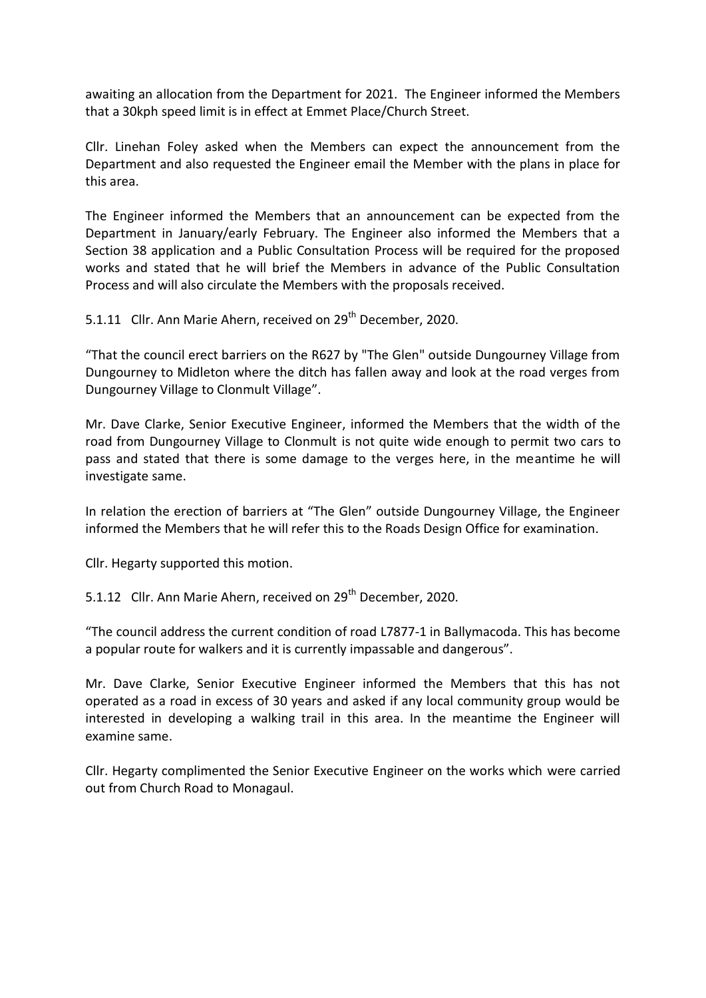awaiting an allocation from the Department for 2021. The Engineer informed the Members that a 30kph speed limit is in effect at Emmet Place/Church Street.

Cllr. Linehan Foley asked when the Members can expect the announcement from the Department and also requested the Engineer email the Member with the plans in place for this area.

The Engineer informed the Members that an announcement can be expected from the Department in January/early February. The Engineer also informed the Members that a Section 38 application and a Public Consultation Process will be required for the proposed works and stated that he will brief the Members in advance of the Public Consultation Process and will also circulate the Members with the proposals received.

5.1.11 Cllr. Ann Marie Ahern, received on 29<sup>th</sup> December, 2020.

"That the council erect barriers on the R627 by "The Glen" outside Dungourney Village from Dungourney to Midleton where the ditch has fallen away and look at the road verges from Dungourney Village to Clonmult Village".

Mr. Dave Clarke, Senior Executive Engineer, informed the Members that the width of the road from Dungourney Village to Clonmult is not quite wide enough to permit two cars to pass and stated that there is some damage to the verges here, in the meantime he will investigate same.

In relation the erection of barriers at "The Glen" outside Dungourney Village, the Engineer informed the Members that he will refer this to the Roads Design Office for examination.

Cllr. Hegarty supported this motion.

5.1.12 Cllr. Ann Marie Ahern, received on 29<sup>th</sup> December, 2020.

"The council address the current condition of road L7877-1 in Ballymacoda. This has become a popular route for walkers and it is currently impassable and dangerous".

Mr. Dave Clarke, Senior Executive Engineer informed the Members that this has not operated as a road in excess of 30 years and asked if any local community group would be interested in developing a walking trail in this area. In the meantime the Engineer will examine same.

Cllr. Hegarty complimented the Senior Executive Engineer on the works which were carried out from Church Road to Monagaul.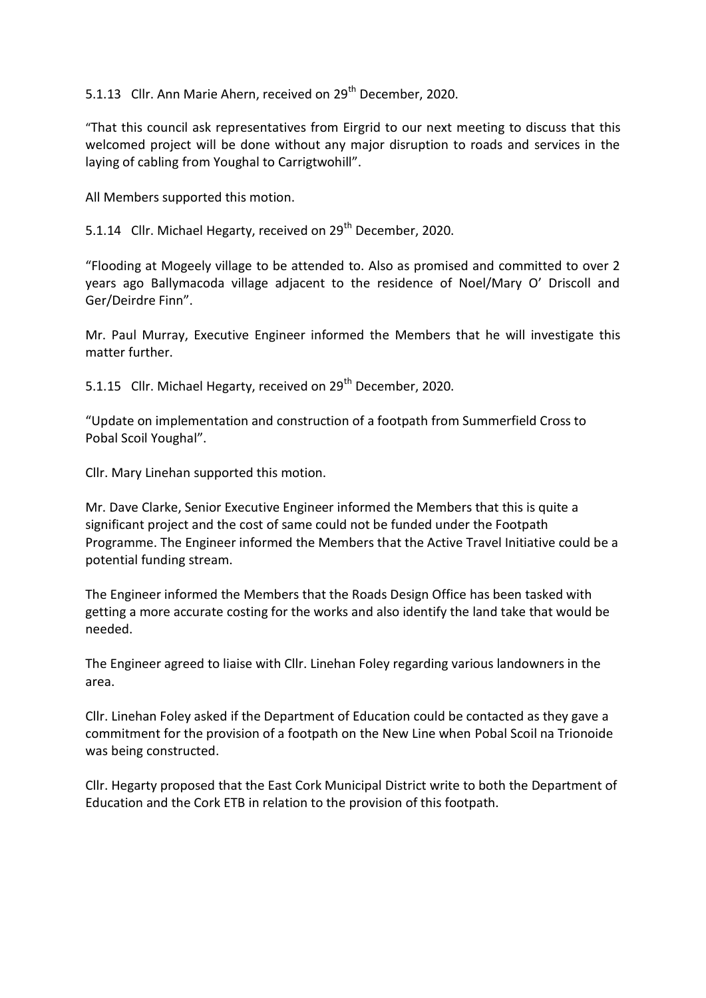5.1.13 Cllr. Ann Marie Ahern, received on 29<sup>th</sup> December, 2020.

"That this council ask representatives from Eirgrid to our next meeting to discuss that this welcomed project will be done without any major disruption to roads and services in the laying of cabling from Youghal to Carrigtwohill".

All Members supported this motion.

5.1.14 Cllr. Michael Hegarty, received on 29<sup>th</sup> December, 2020.

"Flooding at Mogeely village to be attended to. Also as promised and committed to over 2 years ago Ballymacoda village adjacent to the residence of Noel/Mary O' Driscoll and Ger/Deirdre Finn".

Mr. Paul Murray, Executive Engineer informed the Members that he will investigate this matter further.

5.1.15 Cllr. Michael Hegarty, received on 29<sup>th</sup> December, 2020.

"Update on implementation and construction of a footpath from Summerfield Cross to Pobal Scoil Youghal".

Cllr. Mary Linehan supported this motion.

Mr. Dave Clarke, Senior Executive Engineer informed the Members that this is quite a significant project and the cost of same could not be funded under the Footpath Programme. The Engineer informed the Members that the Active Travel Initiative could be a potential funding stream.

The Engineer informed the Members that the Roads Design Office has been tasked with getting a more accurate costing for the works and also identify the land take that would be needed.

The Engineer agreed to liaise with Cllr. Linehan Foley regarding various landowners in the area.

Cllr. Linehan Foley asked if the Department of Education could be contacted as they gave a commitment for the provision of a footpath on the New Line when Pobal Scoil na Trionoide was being constructed.

Cllr. Hegarty proposed that the East Cork Municipal District write to both the Department of Education and the Cork ETB in relation to the provision of this footpath.